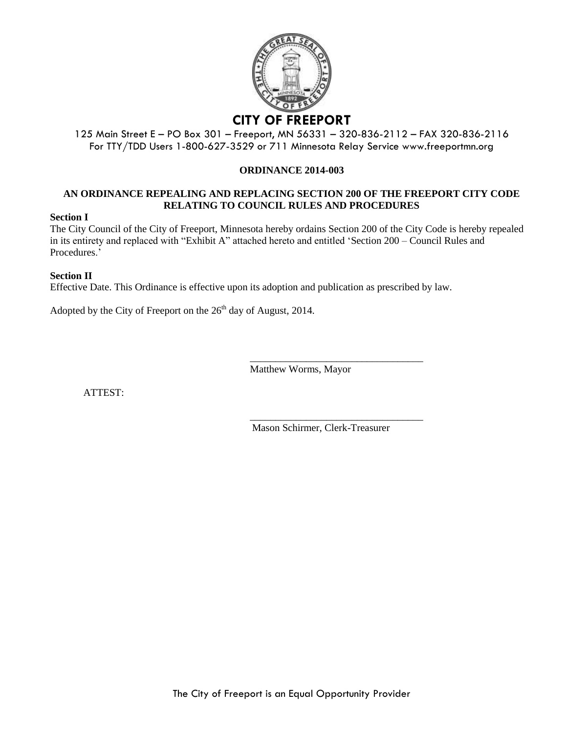

# 125 Main Street E – PO Box 301 – Freeport, MN 56331 – 320-836-2112 – FAX 320-836-2116

For TTY/TDD Users 1-800-627-3529 or 711 Minnesota Relay Service www.freeportmn.org

#### **ORDINANCE 2014-003**

#### **AN ORDINANCE REPEALING AND REPLACING SECTION 200 OF THE FREEPORT CITY CODE RELATING TO COUNCIL RULES AND PROCEDURES**

#### **Section I**

The City Council of the City of Freeport, Minnesota hereby ordains Section 200 of the City Code is hereby repealed in its entirety and replaced with "Exhibit A" attached hereto and entitled 'Section 200 – Council Rules and Procedures<sup>'</sup>

#### **Section II**

Effective Date. This Ordinance is effective upon its adoption and publication as prescribed by law.

Adopted by the City of Freeport on the  $26<sup>th</sup>$  day of August, 2014.

Matthew Worms, Mayor

ATTEST:

Mason Schirmer, Clerk-Treasurer

\_\_\_\_\_\_\_\_\_\_\_\_\_\_\_\_\_\_\_\_\_\_\_\_\_\_\_\_\_\_\_\_\_\_

\_\_\_\_\_\_\_\_\_\_\_\_\_\_\_\_\_\_\_\_\_\_\_\_\_\_\_\_\_\_\_\_\_\_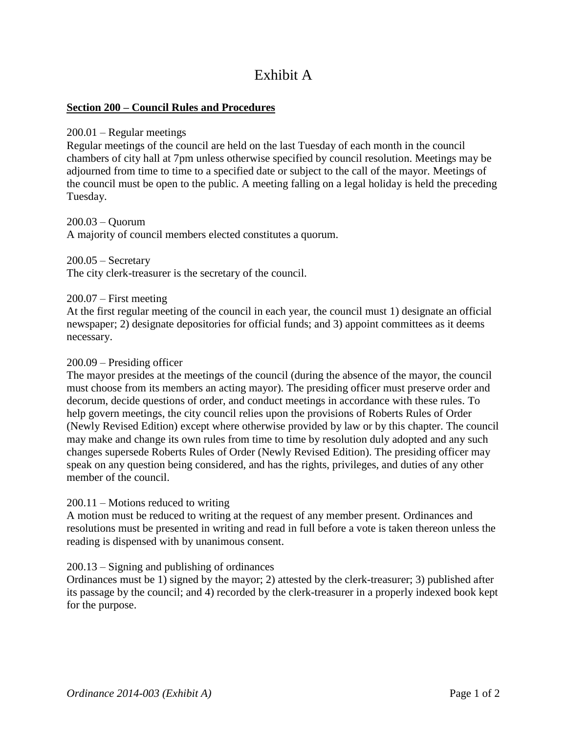# Exhibit A

# **Section 200 – Council Rules and Procedures**

# 200.01 – Regular meetings

Regular meetings of the council are held on the last Tuesday of each month in the council chambers of city hall at 7pm unless otherwise specified by council resolution. Meetings may be adjourned from time to time to a specified date or subject to the call of the mayor. Meetings of the council must be open to the public. A meeting falling on a legal holiday is held the preceding Tuesday.

200.03 – Quorum

A majority of council members elected constitutes a quorum.

 $200.05 -$ Secretary The city clerk-treasurer is the secretary of the council.

200.07 – First meeting

At the first regular meeting of the council in each year, the council must 1) designate an official newspaper; 2) designate depositories for official funds; and 3) appoint committees as it deems necessary.

# 200.09 – Presiding officer

The mayor presides at the meetings of the council (during the absence of the mayor, the council must choose from its members an acting mayor). The presiding officer must preserve order and decorum, decide questions of order, and conduct meetings in accordance with these rules. To help govern meetings, the city council relies upon the provisions of Roberts Rules of Order (Newly Revised Edition) except where otherwise provided by law or by this chapter. The council may make and change its own rules from time to time by resolution duly adopted and any such changes supersede Roberts Rules of Order (Newly Revised Edition). The presiding officer may speak on any question being considered, and has the rights, privileges, and duties of any other member of the council.

# 200.11 – Motions reduced to writing

A motion must be reduced to writing at the request of any member present. Ordinances and resolutions must be presented in writing and read in full before a vote is taken thereon unless the reading is dispensed with by unanimous consent.

# 200.13 – Signing and publishing of ordinances

Ordinances must be 1) signed by the mayor; 2) attested by the clerk-treasurer; 3) published after its passage by the council; and 4) recorded by the clerk-treasurer in a properly indexed book kept for the purpose.